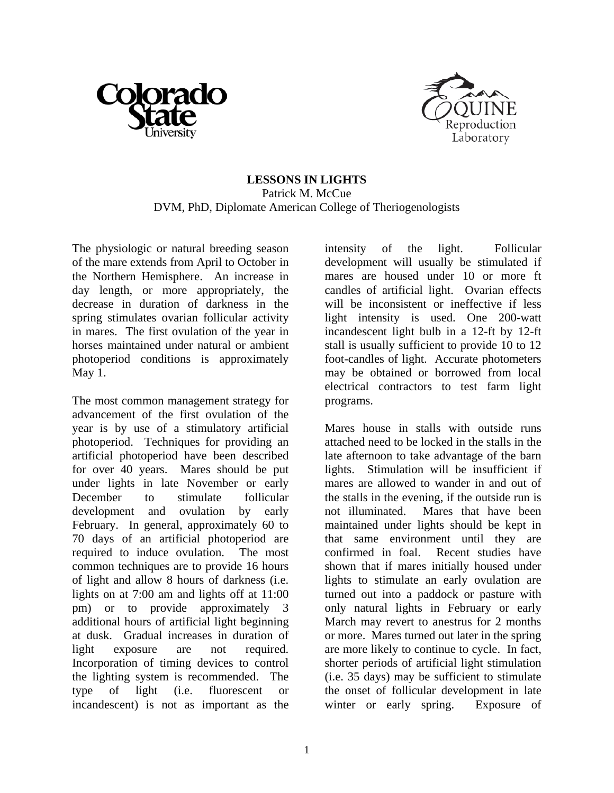



## **LESSONS IN LIGHTS**  Patrick M. McCue DVM, PhD, Diplomate American College of Theriogenologists

The physiologic or natural breeding season of the mare extends from April to October in the Northern Hemisphere. An increase in day length, or more appropriately, the decrease in duration of darkness in the spring stimulates ovarian follicular activity in mares. The first ovulation of the year in horses maintained under natural or ambient photoperiod conditions is approximately May 1.

The most common management strategy for advancement of the first ovulation of the year is by use of a stimulatory artificial photoperiod. Techniques for providing an artificial photoperiod have been described for over 40 years. Mares should be put under lights in late November or early December to stimulate follicular development and ovulation by early February. In general, approximately 60 to 70 days of an artificial photoperiod are required to induce ovulation. The most common techniques are to provide 16 hours of light and allow 8 hours of darkness (i.e. lights on at 7:00 am and lights off at 11:00 pm) or to provide approximately 3 additional hours of artificial light beginning at dusk. Gradual increases in duration of light exposure are not required. Incorporation of timing devices to control the lighting system is recommended. The type of light (i.e. fluorescent or incandescent) is not as important as the

intensity of the light. Follicular development will usually be stimulated if mares are housed under 10 or more ft candles of artificial light. Ovarian effects will be inconsistent or ineffective if less light intensity is used. One 200-watt incandescent light bulb in a 12-ft by 12-ft stall is usually sufficient to provide 10 to 12 foot-candles of light. Accurate photometers may be obtained or borrowed from local electrical contractors to test farm light programs.

Mares house in stalls with outside runs attached need to be locked in the stalls in the late afternoon to take advantage of the barn lights. Stimulation will be insufficient if mares are allowed to wander in and out of the stalls in the evening, if the outside run is not illuminated. Mares that have been maintained under lights should be kept in that same environment until they are confirmed in foal. Recent studies have shown that if mares initially housed under lights to stimulate an early ovulation are turned out into a paddock or pasture with only natural lights in February or early March may revert to anestrus for 2 months or more. Mares turned out later in the spring are more likely to continue to cycle. In fact, shorter periods of artificial light stimulation (i.e. 35 days) may be sufficient to stimulate the onset of follicular development in late winter or early spring. Exposure of